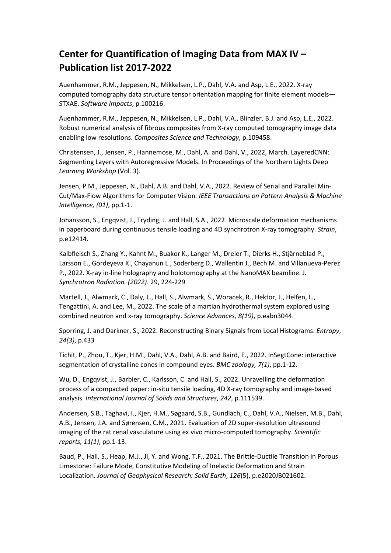## **Center for Quantification of Imaging Data from MAX IV – Publication list 2017-2022**

Auenhammer, R.M., Jeppesen, N., Mikkelsen, L.P., Dahl, V.A. and Asp, L.E., 2022. X-ray computed tomography data structure tensor orientation mapping for finite element models— STXAE. *Software Impacts*, p.100216.

Auenhammer, R.M., Jeppesen, N., Mikkelsen, L.P., Dahl, V.A., Blinzler, B.J. and Asp, L.E., 2022. Robust numerical analysis of fibrous composites from X-ray computed tomography image data enabling low resolutions. *Composites Science and Technology*, p.109458.

Christensen, J., Jensen, P., Hannemose, M., Dahl, A. and Dahl, V., 2022, March. LayeredCNN: Segmenting Layers with Autoregressive Models. In Proceedings of the Northern Lights Deep *Learning Workshop* (Vol. 3).

Jensen, P.M., Jeppesen, N., Dahl, A.B. and Dahl, V.A., 2022. Review of Serial and Parallel Min-Cut/Max-Flow Algorithms for Computer Vision*. IEEE Transactions on Pattern Analysis & Machine Intelligence, (01)*, pp.1-1.

Johansson, S., Engqvist, J., Tryding, J. and Hall, S.A., 2022. Microscale deformation mechanisms in paperboard during continuous tensile loading and 4D synchrotron X-ray tomography. *Strain*, p.e12414.

Kalbfleisch S., Zhang Y., Kahnt M., Buakor K., Langer M., Dreier T., Dierks H., Stjärneblad P., Larsson E., Gordeyeva K., Chayanun L., Söderberg D., Wallentin J., Bech M. and Villanueva-Perez P., 2022. X-ray in-line holography and holotomography at the NanoMAX beamline. J. *Synchrotron Radiation. (2022)*. 29, 224-229

Martell, J., Alwmark, C., Daly, L., Hall, S., Alwmark, S., Woracek, R., Hektor, J., Helfen, L., Tengattini, A. and Lee, M., 2022. The scale of a martian hydrothermal system explored using combined neutron and x-ray tomography. *Science Advances, 8(19)*, p.eabn3044.

Sporring, J. and Darkner, S., 2022. Reconstructing Binary Signals from Local Histograms. *Entropy*, *24(3)*, p.433

Tichit, P., Zhou, T., Kjer, H.M., Dahl, V.A., Dahl, A.B. and Baird, E., 2022. InSegtCone: interactive segmentation of crystalline cones in compound eyes. *BMC zoology, 7(1)*, pp.1-12.

Wu, D., Engqvist, J., Barbier, C., Karlsson, C. and Hall, S., 2022. Unravelling the deformation process of a compacted paper: in-situ tensile loading, 4D X-ray tomography and image-based analysis. *International Journal of Solids and Structures*, *242*, p.111539.

Andersen, S.B., Taghavi, I., Kjer, H.M., Søgaard, S.B., Gundlach, C., Dahl, V.A., Nielsen, M.B., Dahl, A.B., Jensen, J.A. and Sørensen, C.M., 2021. Evaluation of 2D super-resolution ultrasound imaging of the rat renal vasculature using ex vivo micro-computed tomography. *Scientific reports, 11(1)*, pp.1-13.

Baud, P., Hall, S., Heap, M.J., Ji, Y. and Wong, T.F., 2021. The Brittle-Ductile Transition in Porous Limestone: Failure Mode, Constitutive Modeling of Inelastic Deformation and Strain Localization. *Journal of Geophysical Research: Solid Earth*, *126*(5), p.e2020JB021602.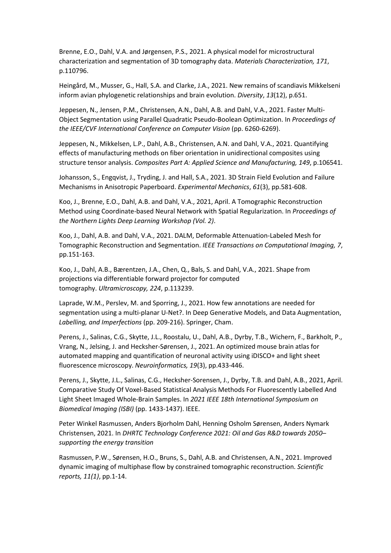Brenne, E.O., Dahl, V.A. and Jørgensen, P.S., 2021. A physical model for microstructural characterization and segmentation of 3D tomography data. *Materials Characterization, 171*, p.110796.

Heingård, M., Musser, G., Hall, S.A. and Clarke, J.A., 2021. New remains of scandiavis Mikkelseni inform avian phylogenetic relationships and brain evolution. *Diversity*, *13*(12), p.651.

Jeppesen, N., Jensen, P.M., Christensen, A.N., Dahl, A.B. and Dahl, V.A., 2021. Faster Multi-Object Segmentation using Parallel Quadratic Pseudo-Boolean Optimization. In *Proceedings of the IEEE/CVF International Conference on Computer Vision* (pp. 6260-6269).

Jeppesen, N., Mikkelsen, L.P., Dahl, A.B., Christensen, A.N. and Dahl, V.A., 2021. Quantifying effects of manufacturing methods on fiber orientation in unidirectional composites using structure tensor analysis. *Composites Part A: Applied Science and Manufacturing, 149*, p.106541.

Johansson, S., Engqvist, J., Tryding, J. and Hall, S.A., 2021. 3D Strain Field Evolution and Failure Mechanisms in Anisotropic Paperboard. *Experimental Mechanics*, *61*(3), pp.581-608.

Koo, J., Brenne, E.O., Dahl, A.B. and Dahl, V.A., 2021, April. A Tomographic Reconstruction Method using Coordinate-based Neural Network with Spatial Regularization. In *Proceedings of the Northern Lights Deep Learning Workshop (Vol. 2)*.

Koo, J., Dahl, A.B. and Dahl, V.A., 2021. DALM, Deformable Attenuation-Labeled Mesh for Tomographic Reconstruction and Segmentation. *IEEE Transactions on Computational Imaging, 7*, pp.151-163.

Koo, J., Dahl, A.B., Bærentzen, J.A., Chen, Q., Bals, S. and Dahl, V.A., 2021. Shape from projections via differentiable forward projector for computed tomography. *Ultramicroscopy, 224*, p.113239.

Laprade, W.M., Perslev, M. and Sporring, J., 2021. How few annotations are needed for segmentation using a multi-planar U-Net?. In Deep Generative Models, and Data Augmentation, *Labelling, and Imperfections* (pp. 209-216). Springer, Cham.

Perens, J., Salinas, C.G., Skytte, J.L., Roostalu, U., Dahl, A.B., Dyrby, T.B., Wichern, F., Barkholt, P., Vrang, N., Jelsing, J. and Hecksher-Sørensen, J., 2021. An optimized mouse brain atlas for automated mapping and quantification of neuronal activity using iDISCO+ and light sheet fluorescence microscopy. *Neuroinformatics, 19*(3), pp.433-446.

Perens, J., Skytte, J.L., Salinas, C.G., Hecksher-Sorensen, J., Dyrby, T.B. and Dahl, A.B., 2021, April. Comparative Study Of Voxel-Based Statistical Analysis Methods For Fluorescently Labelled And Light Sheet Imaged Whole-Brain Samples. In *2021 IEEE 18th International Symposium on Biomedical Imaging (ISBI)* (pp. 1433-1437). IEEE.

Peter Winkel Rasmussen, Anders Bjorholm Dahl, Henning Osholm Sørensen, Anders Nymark Christensen, 2021. In *DHRTC Technology Conference 2021: Oil and Gas R&D towards 2050– supporting the energy transition*

Rasmussen, P.W., Sørensen, H.O., Bruns, S., Dahl, A.B. and Christensen, A.N., 2021. Improved dynamic imaging of multiphase flow by constrained tomographic reconstruction. *Scientific reports, 11(1)*, pp.1-14.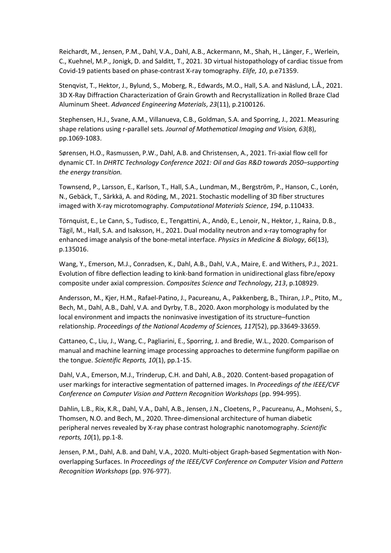Reichardt, M., Jensen, P.M., Dahl, V.A., Dahl, A.B., Ackermann, M., Shah, H., Länger, F., Werlein, C., Kuehnel, M.P., Jonigk, D. and Salditt, T., 2021. 3D virtual histopathology of cardiac tissue from Covid-19 patients based on phase-contrast X-ray tomography. *Elife, 10*, p.e71359.

Stenqvist, T., Hektor, J., Bylund, S., Moberg, R., Edwards, M.O., Hall, S.A. and Näslund, L.Å., 2021. 3D X-Ray Diffraction Characterization of Grain Growth and Recrystallization in Rolled Braze Clad Aluminum Sheet. *Advanced Engineering Materials*, *23*(11), p.2100126.

Stephensen, H.J., Svane, A.M., Villanueva, C.B., Goldman, S.A. and Sporring, J., 2021. Measuring shape relations using r-parallel sets*. Journal of Mathematical Imaging and Vision, 63*(8), pp.1069-1083.

Sørensen, H.O., Rasmussen, P.W., Dahl, A.B. and Christensen, A., 2021. Tri-axial flow cell for dynamic CT. In *DHRTC Technology Conference 2021: Oil and Gas R&D towards 2050–supporting the energy transition.*

Townsend, P., Larsson, E., Karlson, T., Hall, S.A., Lundman, M., Bergström, P., Hanson, C., Lorén, N., Gebäck, T., Särkkä, A. and Röding, M., 2021. Stochastic modelling of 3D fiber structures imaged with X-ray microtomography. *Computational Materials Science*, *194*, p.110433.

Törnquist, E., Le Cann, S., Tudisco, E., Tengattini, A., Andò, E., Lenoir, N., Hektor, J., Raina, D.B., Tägil, M., Hall, S.A. and Isaksson, H., 2021. Dual modality neutron and x-ray tomography for enhanced image analysis of the bone-metal interface. *Physics in Medicine & Biology*, *66*(13), p.135016.

Wang, Y., Emerson, M.J., Conradsen, K., Dahl, A.B., Dahl, V.A., Maire, E. and Withers, P.J., 2021. Evolution of fibre deflection leading to kink-band formation in unidirectional glass fibre/epoxy composite under axial compression. *Composites Science and Technology, 213*, p.108929.

Andersson, M., Kjer, H.M., Rafael-Patino, J., Pacureanu, A., Pakkenberg, B., Thiran, J.P., Ptito, M., Bech, M., Dahl, A.B., Dahl, V.A. and Dyrby, T.B., 2020. Axon morphology is modulated by the local environment and impacts the noninvasive investigation of its structure–function relationship. *Proceedings of the National Academy of Sciences, 117*(52), pp.33649-33659.

Cattaneo, C., Liu, J., Wang, C., Pagliarini, E., Sporring, J. and Bredie, W.L., 2020. Comparison of manual and machine learning image processing approaches to determine fungiform papillae on the tongue. *Scientific Reports, 10*(1), pp.1-15.

Dahl, V.A., Emerson, M.J., Trinderup, C.H. and Dahl, A.B., 2020. Content-based propagation of user markings for interactive segmentation of patterned images. In *Proceedings of the IEEE/CVF Conference on Computer Vision and Pattern Recognition Workshops* (pp. 994-995).

Dahlin, L.B., Rix, K.R., Dahl, V.A., Dahl, A.B., Jensen, J.N., Cloetens, P., Pacureanu, A., Mohseni, S., Thomsen, N.O. and Bech, M., 2020. Three-dimensional architecture of human diabetic peripheral nerves revealed by X-ray phase contrast holographic nanotomography. *Scientific reports, 10*(1), pp.1-8.

Jensen, P.M., Dahl, A.B. and Dahl, V.A., 2020. Multi-object Graph-based Segmentation with Nonoverlapping Surfaces. In *Proceedings of the IEEE/CVF Conference on Computer Vision and Pattern Recognition Workshops* (pp. 976-977).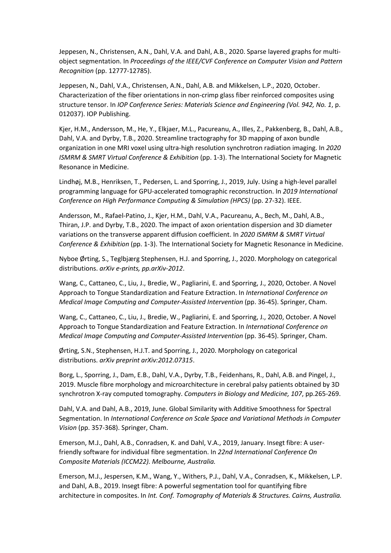Jeppesen, N., Christensen, A.N., Dahl, V.A. and Dahl, A.B., 2020. Sparse layered graphs for multiobject segmentation. In *Proceedings of the IEEE/CVF Conference on Computer Vision and Pattern Recognition* (pp. 12777-12785).

Jeppesen, N., Dahl, V.A., Christensen, A.N., Dahl, A.B. and Mikkelsen, L.P., 2020, October. Characterization of the fiber orientations in non-crimp glass fiber reinforced composites using structure tensor. In *IOP Conference Series: Materials Science and Engineering (Vol. 942, No. 1*, p. 012037). IOP Publishing.

Kjer, H.M., Andersson, M., He, Y., Elkjaer, M.L., Pacureanu, A., Illes, Z., Pakkenberg, B., Dahl, A.B., Dahl, V.A. and Dyrby, T.B., 2020. Streamline tractography for 3D mapping of axon bundle organization in one MRI voxel using ultra-high resolution synchrotron radiation imaging. In *2020 ISMRM & SMRT Virtual Conference & Exhibition* (pp. 1-3). The International Society for Magnetic Resonance in Medicine.

Lindhøj, M.B., Henriksen, T., Pedersen, L. and Sporring, J., 2019, July. Using a high-level parallel programming language for GPU-accelerated tomographic reconstruction. In *2019 International Conference on High Performance Computing & Simulation (HPCS)* (pp. 27-32). IEEE.

Andersson, M., Rafael-Patino, J., Kjer, H.M., Dahl, V.A., Pacureanu, A., Bech, M., Dahl, A.B., Thiran, J.P. and Dyrby, T.B., 2020. The impact of axon orientation dispersion and 3D diameter variations on the transverse apparent diffusion coefficient. In *2020 ISMRM & SMRT Virtual Conference & Exhibition* (pp. 1-3). The International Society for Magnetic Resonance in Medicine.

Nyboe Ørting, S., Teglbjærg Stephensen, H.J. and Sporring, J., 2020. Morphology on categorical distributions. *arXiv e-prints, pp.arXiv-2012*.

Wang, C., Cattaneo, C., Liu, J., Bredie, W., Pagliarini, E. and Sporring, J., 2020, October. A Novel Approach to Tongue Standardization and Feature Extraction. In *International Conference on Medical Image Computing and Computer-Assisted Intervention* (pp. 36-45). Springer, Cham.

Wang, C., Cattaneo, C., Liu, J., Bredie, W., Pagliarini, E. and Sporring, J., 2020, October. A Novel Approach to Tongue Standardization and Feature Extraction. In *International Conference on Medical Image Computing and Computer-Assisted Intervention* (pp. 36-45). Springer, Cham.

Ørting, S.N., Stephensen, H.J.T. and Sporring, J., 2020. Morphology on categorical distributions. *arXiv preprint arXiv:2012.07315*.

Borg, L., Sporring, J., Dam, E.B., Dahl, V.A., Dyrby, T.B., Feidenhans, R., Dahl, A.B. and Pingel, J., 2019. Muscle fibre morphology and microarchitecture in cerebral palsy patients obtained by 3D synchrotron X-ray computed tomography. *Computers in Biology and Medicine, 107*, pp.265-269.

Dahl, V.A. and Dahl, A.B., 2019, June. Global Similarity with Additive Smoothness for Spectral Segmentation. In *International Conference on Scale Space and Variational Methods in Computer Vision* (pp. 357-368). Springer, Cham.

Emerson, M.J., Dahl, A.B., Conradsen, K. and Dahl, V.A., 2019, January. Insegt fibre: A userfriendly software for individual fibre segmentation. In *22nd International Conference On Composite Materials (ICCM22). Melbourne, Australia.*

Emerson, M.J., Jespersen, K.M., Wang, Y., Withers, P.J., Dahl, V.A., Conradsen, K., Mikkelsen, L.P. and Dahl, A.B., 2019. Insegt fibre: A powerful segmentation tool for quantifying fibre architecture in composites. In *Int. Conf. Tomography of Materials & Structures. Cairns, Australia.*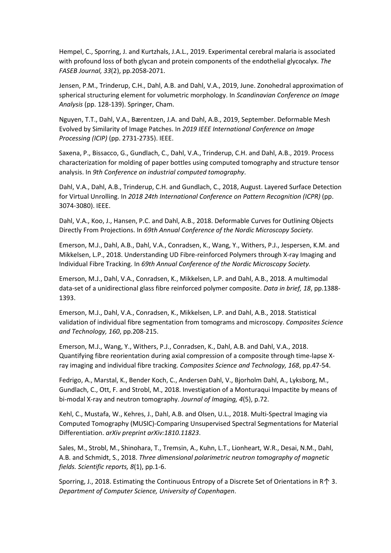Hempel, C., Sporring, J. and Kurtzhals, J.A.L., 2019. Experimental cerebral malaria is associated with profound loss of both glycan and protein components of the endothelial glycocalyx. *The FASEB Journal, 33*(2), pp.2058-2071.

Jensen, P.M., Trinderup, C.H., Dahl, A.B. and Dahl, V.A., 2019, June. Zonohedral approximation of spherical structuring element for volumetric morphology. In *Scandinavian Conference on Image Analysis* (pp. 128-139). Springer, Cham.

Nguyen, T.T., Dahl, V.A., Bærentzen, J.A. and Dahl, A.B., 2019, September. Deformable Mesh Evolved by Similarity of Image Patches. In *2019 IEEE International Conference on Image Processing (ICIP)* (pp. 2731-2735). IEEE.

Saxena, P., Bissacco, G., Gundlach, C., Dahl, V.A., Trinderup, C.H. and Dahl, A.B., 2019. Process characterization for molding of paper bottles using computed tomography and structure tensor analysis. In *9th Conference on industrial computed tomography*.

Dahl, V.A., Dahl, A.B., Trinderup, C.H. and Gundlach, C., 2018, August. Layered Surface Detection for Virtual Unrolling. In *2018 24th International Conference on Pattern Recognition (ICPR)* (pp. 3074-3080). IEEE.

Dahl, V.A., Koo, J., Hansen, P.C. and Dahl, A.B., 2018. Deformable Curves for Outlining Objects Directly From Projections. In *69th Annual Conference of the Nordic Microscopy Society.*

Emerson, M.J., Dahl, A.B., Dahl, V.A., Conradsen, K., Wang, Y., Withers, P.J., Jespersen, K.M. and Mikkelsen, L.P., 2018. Understanding UD Fibre-reinforced Polymers through X-ray Imaging and Individual Fibre Tracking. In *69th Annual Conference of the Nordic Microscopy Society.*

Emerson, M.J., Dahl, V.A., Conradsen, K., Mikkelsen, L.P. and Dahl, A.B., 2018. A multimodal data-set of a unidirectional glass fibre reinforced polymer composite. *Data in brief, 18*, pp.1388- 1393.

Emerson, M.J., Dahl, V.A., Conradsen, K., Mikkelsen, L.P. and Dahl, A.B., 2018. Statistical validation of individual fibre segmentation from tomograms and microscopy. *Composites Science and Technology, 160*, pp.208-215.

Emerson, M.J., Wang, Y., Withers, P.J., Conradsen, K., Dahl, A.B. and Dahl, V.A., 2018. Quantifying fibre reorientation during axial compression of a composite through time-lapse Xray imaging and individual fibre tracking. *Composites Science and Technology, 168*, pp.47-54.

Fedrigo, A., Marstal, K., Bender Koch, C., Andersen Dahl, V., Bjorholm Dahl, A., Lyksborg, M., Gundlach, C., Ott, F. and Strobl, M., 2018. Investigation of a Monturaqui Impactite by means of bi-modal X-ray and neutron tomography. *Journal of Imaging, 4*(5), p.72.

Kehl, C., Mustafa, W., Kehres, J., Dahl, A.B. and Olsen, U.L., 2018. Multi-Spectral Imaging via Computed Tomography (MUSIC)-Comparing Unsupervised Spectral Segmentations for Material Differentiation. *arXiv preprint arXiv:1810.11823*.

Sales, M., Strobl, M., Shinohara, T., Tremsin, A., Kuhn, L.T., Lionheart, W.R., Desai, N.M., Dahl, A.B. and Schmidt, S., 2018. *Three dimensional polarimetric neutron tomography of magnetic fields. Scientific reports, 8*(1), pp.1-6.

Sporring, J., 2018. Estimating the Continuous Entropy of a Discrete Set of Orientations in R↑ 3. *Department of Computer Science, University of Copenhagen*.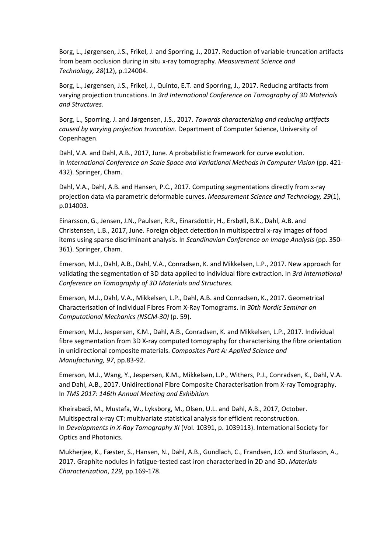Borg, L., Jørgensen, J.S., Frikel, J. and Sporring, J., 2017. Reduction of variable-truncation artifacts from beam occlusion during in situ x-ray tomography. *Measurement Science and Technology, 28*(12), p.124004.

Borg, L., Jørgensen, J.S., Frikel, J., Quinto, E.T. and Sporring, J., 2017. Reducing artifacts from varying projection truncations. In *3rd International Conference on Tomography of 3D Materials and Structures.*

Borg, L., Sporring, J. and Jørgensen, J.S., 2017. *Towards characterizing and reducing artifacts caused by varying projection truncation*. Department of Computer Science, University of Copenhagen.

Dahl, V.A. and Dahl, A.B., 2017, June. A probabilistic framework for curve evolution. In *International Conference on Scale Space and Variational Methods in Computer Vision* (pp. 421- 432). Springer, Cham.

Dahl, V.A., Dahl, A.B. and Hansen, P.C., 2017. Computing segmentations directly from x-ray projection data via parametric deformable curves. *Measurement Science and Technology, 29*(1), p.014003.

Einarsson, G., Jensen, J.N., Paulsen, R.R., Einarsdottir, H., Ersbøll, B.K., Dahl, A.B. and Christensen, L.B., 2017, June. Foreign object detection in multispectral x-ray images of food items using sparse discriminant analysis. In *Scandinavian Conference on Image Analysis* (pp. 350- 361). Springer, Cham.

Emerson, M.J., Dahl, A.B., Dahl, V.A., Conradsen, K. and Mikkelsen, L.P., 2017. New approach for validating the segmentation of 3D data applied to individual fibre extraction. In *3rd International Conference on Tomography of 3D Materials and Structures.*

Emerson, M.J., Dahl, V.A., Mikkelsen, L.P., Dahl, A.B. and Conradsen, K., 2017. Geometrical Characterisation of Individual Fibres From X-Ray Tomograms. In *30th Nordic Seminar on Computational Mechanics (NSCM-30)* (p. 59).

Emerson, M.J., Jespersen, K.M., Dahl, A.B., Conradsen, K. and Mikkelsen, L.P., 2017. Individual fibre segmentation from 3D X-ray computed tomography for characterising the fibre orientation in unidirectional composite materials. *Composites Part A: Applied Science and Manufacturing, 97*, pp.83-92.

Emerson, M.J., Wang, Y., Jespersen, K.M., Mikkelsen, L.P., Withers, P.J., Conradsen, K., Dahl, V.A. and Dahl, A.B., 2017. Unidirectional Fibre Composite Characterisation from X-ray Tomography. In *TMS 2017: 146th Annual Meeting and Exhibition*.

Kheirabadi, M., Mustafa, W., Lyksborg, M., Olsen, U.L. and Dahl, A.B., 2017, October. Multispectral x-ray CT: multivariate statistical analysis for efficient reconstruction. In *Developments in X-Ray Tomography XI* (Vol. 10391, p. 1039113). International Society for Optics and Photonics.

Mukherjee, K., Fæster, S., Hansen, N., Dahl, A.B., Gundlach, C., Frandsen, J.O. and Sturlason, A., 2017. Graphite nodules in fatigue-tested cast iron characterized in 2D and 3D. *Materials Characterization*, *129*, pp.169-178.